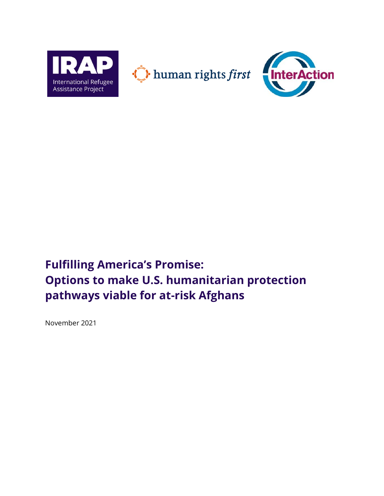

# **Fulfilling America's Promise: Options to make U.S. humanitarian protection pathways viable for at-risk Afghans**

November 2021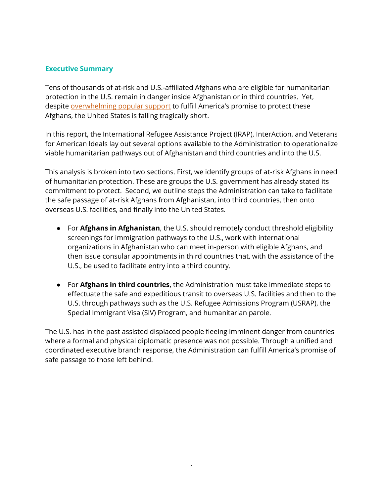## **Executive Summary**

Tens of thousands of at-risk and U.S.-affiliated Afghans who are eligible for humanitarian protection in the U.S. remain in danger inside Afghanistan or in third countries. Yet, despite [overwhelming popular support](https://apnews.com/article/immigration-afghanistan-united-states-veterans-only-on-ap-512f1f9465371fdd02ae94feee62852f) to fulfill America's promise to protect these Afghans, the United States is falling tragically short.

In this report, the International Refugee Assistance Project (IRAP), InterAction, and Veterans for American Ideals lay out several options available to the Administration to operationalize viable humanitarian pathways out of Afghanistan and third countries and into the U.S.

This analysis is broken into two sections. First, we identify groups of at-risk Afghans in need of humanitarian protection. These are groups the U.S. government has already stated its commitment to protect. Second, we outline steps the Administration can take to facilitate the safe passage of at-risk Afghans from Afghanistan, into third countries, then onto overseas U.S. facilities, and finally into the United States.

- For **Afghans in Afghanistan**, the U.S. should remotely conduct threshold eligibility screenings for immigration pathways to the U.S., work with international organizations in Afghanistan who can meet in-person with eligible Afghans, and then issue consular appointments in third countries that, with the assistance of the U.S., be used to facilitate entry into a third country.
- For **Afghans in third countries**, the Administration must take immediate steps to effectuate the safe and expeditious transit to overseas U.S. facilities and then to the U.S. through pathways such as the U.S. Refugee Admissions Program (USRAP), the Special Immigrant Visa (SIV) Program, and humanitarian parole.

The U.S. has in the past assisted displaced people fleeing imminent danger from countries where a formal and physical diplomatic presence was not possible. Through a unified and coordinated executive branch response, the Administration can fulfill America's promise of safe passage to those left behind.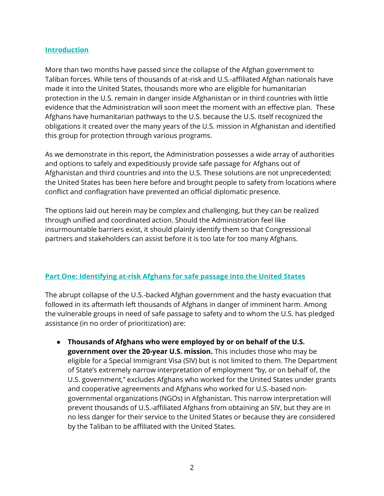## **Introduction**

More than two months have passed since the collapse of the Afghan government to Taliban forces. While tens of thousands of at-risk and U.S.-affiliated Afghan nationals have made it into the United States, thousands more who are eligible for humanitarian protection in the U.S. remain in danger inside Afghanistan or in third countries with little evidence that the Administration will soon meet the moment with an effective plan. These Afghans have humanitarian pathways to the U.S. because the U.S. itself recognized the obligations it created over the many years of the U.S. mission in Afghanistan and identified this group for protection through various programs.

As we demonstrate in this report, the Administration possesses a wide array of authorities and options to safely and expeditiously provide safe passage for Afghans out of Afghanistan and third countries and into the U.S. These solutions are not unprecedented; the United States has been here before and brought people to safety from locations where conflict and conflagration have prevented an official diplomatic presence.

The options laid out herein may be complex and challenging, but they can be realized through unified and coordinated action. Should the Administration feel like insurmountable barriers exist, it should plainly identify them so that Congressional partners and stakeholders can assist before it is too late for too many Afghans.

#### **Part One: Identifying at-risk Afghans for safe passage into the United States**

The abrupt collapse of the U.S.-backed Afghan government and the hasty evacuation that followed in its aftermath left thousands of Afghans in danger of imminent harm. Among the vulnerable groups in need of safe passage to safety and to whom the U.S. has pledged assistance (in no order of prioritization) are:

● **Thousands of Afghans who were employed by or on behalf of the U.S. government over the 20-year U.S. mission.** This includes those who may be eligible for a Special Immigrant Visa (SIV) but is not limited to them. The Department of State's extremely narrow interpretation of employment "by, or on behalf of, the U.S. government," excludes Afghans who worked for the United States under grants and cooperative agreements and Afghans who worked for U.S.-based nongovernmental organizations (NGOs) in Afghanistan. This narrow interpretation will prevent thousands of U.S.-affiliated Afghans from obtaining an SIV, but they are in no less danger for their service to the United States or because they are considered by the Taliban to be affiliated with the United States.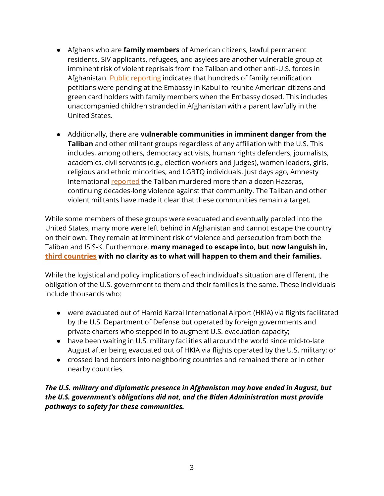- Afghans who are **family members** of American citizens, lawful permanent residents, SIV applicants, refugees, and asylees are another vulnerable group at imminent risk of violent reprisals from the Taliban and other anti-U.S. forces in Afghanistan. [Public reporting](https://www.wsj.com/articles/afghans-in-america-try-to-save-family-members-as-options-dwindle-11629142979) indicates that hundreds of family reunification petitions were pending at the Embassy in Kabul to reunite American citizens and green card holders with family members when the Embassy closed. This includes unaccompanied children stranded in Afghanistan with a parent lawfully in the United States.
- Additionally, there are **vulnerable communities in imminent danger from the Taliban** and other militant groups regardless of any affiliation with the U.S. This includes, among others, democracy activists, human rights defenders, journalists, academics, civil servants (e.g., election workers and judges), women leaders, girls, religious and ethnic minorities, and LGBTQ individuals. Just days ago, Amnesty International [reported](https://www.bbc.com/news/world-asia-58807734) the Taliban murdered more than a dozen Hazaras, continuing decades-long violence against that community. The Taliban and other violent militants have made it clear that these communities remain a target.

While some members of these groups were evacuated and eventually paroled into the United States, many more were left behind in Afghanistan and cannot escape the country on their own. They remain at imminent risk of violence and persecution from both the Taliban and ISIS-K. Furthermore, **many managed to escape into, but now languish in, [third countries](https://www.reuters.com/world/asia-pacific/evacuated-afghans-hoping-resettle-us-face-extended-limbo-third-countries-2021-09-02/) with no clarity as to what will happen to them and their families.** 

While the logistical and policy implications of each individual's situation are different, the obligation of the U.S. government to them and their families is the same. These individuals include thousands who:

- were evacuated out of Hamid Karzai International Airport (HKIA) via flights facilitated by the U.S. Department of Defense but operated by foreign governments and private charters who stepped in to augment U.S. evacuation capacity;
- have been waiting in U.S. military facilities all around the world since mid-to-late August after being evacuated out of HKIA via flights operated by the U.S. military; or
- crossed land borders into neighboring countries and remained there or in other nearby countries.

*The U.S. military and diplomatic presence in Afghanistan may have ended in August, but the U.S. government's obligations did not, and the Biden Administration must provide pathways to safety for these communities.*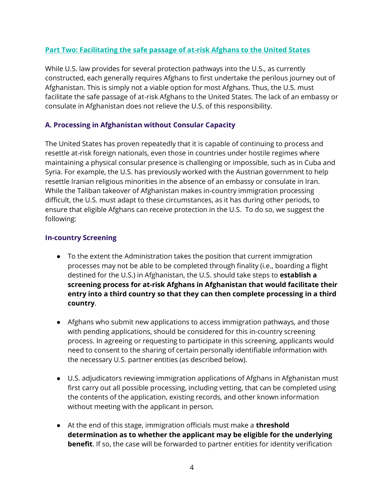# **Part Two: Facilitating the safe passage of at-risk Afghans to the United States**

While U.S. law provides for several protection pathways into the U.S., as currently constructed, each generally requires Afghans to first undertake the perilous journey out of Afghanistan. This is simply not a viable option for most Afghans. Thus, the U.S. must facilitate the safe passage of at-risk Afghans to the United States. The lack of an embassy or consulate in Afghanistan does not relieve the U.S. of this responsibility.

## **A. Processing in Afghanistan without Consular Capacity**

The United States has proven repeatedly that it is capable of continuing to process and resettle at-risk foreign nationals, even those in countries under hostile regimes where maintaining a physical consular presence is challenging or impossible, such as in Cuba and Syria. For example, the U.S. has previously worked with the Austrian government to help resettle Iranian religious minorities in the absence of an embassy or consulate in Iran. While the Taliban takeover of Afghanistan makes in-country immigration processing difficult, the U.S. must adapt to these circumstances, as it has during other periods, to ensure that eligible Afghans can receive protection in the U.S. To do so, we suggest the following:

#### **In-country Screening**

- To the extent the Administration takes the position that current immigration processes may not be able to be completed through finality (i.e., boarding a flight destined for the U.S.) in Afghanistan, the U.S. should take steps to **establish a screening process for at-risk Afghans in Afghanistan that would facilitate their entry into a third country so that they can then complete processing in a third country**.
- Afghans who submit new applications to access immigration pathways, and those with pending applications, should be considered for this in-country screening process. In agreeing or requesting to participate in this screening, applicants would need to consent to the sharing of certain personally identifiable information with the necessary U.S. partner entities (as described below).
- U.S. adjudicators reviewing immigration applications of Afghans in Afghanistan must first carry out all possible processing, including vetting, that can be completed using the contents of the application, existing records, and other known information without meeting with the applicant in person.
- At the end of this stage, immigration officials must make a **threshold determination as to whether the applicant may be eligible for the underlying benefit**. If so, the case will be forwarded to partner entities for identity verification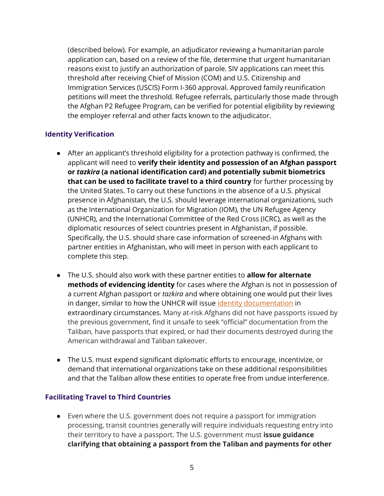(described below). For example, an adjudicator reviewing a humanitarian parole application can, based on a review of the file, determine that urgent humanitarian reasons exist to justify an authorization of parole. SIV applications can meet this threshold after receiving Chief of Mission (COM) and U.S. Citizenship and Immigration Services (USCIS) Form I-360 approval. Approved family reunification petitions will meet the threshold. Refugee referrals, particularly those made through the Afghan P2 Refugee Program, can be verified for potential eligibility by reviewing the employer referral and other facts known to the adjudicator.

# **Identity Verification**

- After an applicant's threshold eligibility for a protection pathway is confirmed, the applicant will need to **verify their identity and possession of an Afghan passport or** *tazkira* **(a national identification card) and potentially submit biometrics that can be used to facilitate travel to a third country** for further processing by the United States. To carry out these functions in the absence of a U.S. physical presence in Afghanistan, the U.S. should leverage international organizations, such as the International Organization for Migration (IOM), the UN Refugee Agency (UNHCR), and the International Committee of the Red Cross (ICRC), as well as the diplomatic resources of select countries present in Afghanistan, if possible. Specifically, the U.S. should share case information of screened-in Afghans with partner entities in Afghanistan, who will meet in person with each applicant to complete this step.
- The U.S. should also work with these partner entities to **allow for alternate methods of evidencing identity** for cases where the Afghan is not in possession of a current Afghan passport or *tazkira* and where obtaining one would put their lives in danger, similar to how the UNHCR will issue [identity documentation](https://www.unhcr.org/registration-guidance/chapter5/documentation/) in extraordinary circumstances. Many at-risk Afghans did not have passports issued by the previous government, find it unsafe to seek "official" documentation from the Taliban, have passports that expired, or had their documents destroyed during the American withdrawal and Taliban takeover.
- The U.S. must expend significant diplomatic efforts to encourage, incentivize, or demand that international organizations take on these additional responsibilities and that the Taliban allow these entities to operate free from undue interference.

#### **Facilitating Travel to Third Countries**

● Even where the U.S. government does not require a passport for immigration processing, transit countries generally will require individuals requesting entry into their territory to have a passport. The U.S. government must **issue guidance clarifying that obtaining a passport from the Taliban and payments for other**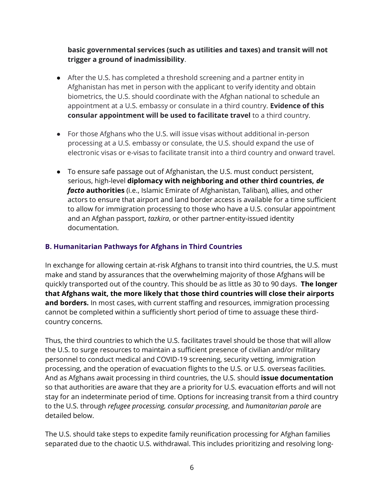# **basic governmental services (such as utilities and taxes) and transit will not trigger a ground of inadmissibility**.

- After the U.S. has completed a threshold screening and a partner entity in Afghanistan has met in person with the applicant to verify identity and obtain biometrics, the U.S. should coordinate with the Afghan national to schedule an appointment at a U.S. embassy or consulate in a third country. **Evidence of this consular appointment will be used to facilitate travel** to a third country.
- For those Afghans who the U.S. will issue visas without additional in-person processing at a U.S. embassy or consulate, the U.S. should expand the use of electronic visas or e-visas to facilitate transit into a third country and onward travel.
- To ensure safe passage out of Afghanistan, the U.S. must conduct persistent, serious, high-level **diplomacy with neighboring and other third countries,** *de facto* **authorities** (i.e., Islamic Emirate of Afghanistan, Taliban), allies, and other actors to ensure that airport and land border access is available for a time sufficient to allow for immigration processing to those who have a U.S. consular appointment and an Afghan passport, *tazkira*, or other partner-entity-issued identity documentation.

## **B. Humanitarian Pathways for Afghans in Third Countries**

In exchange for allowing certain at-risk Afghans to transit into third countries, the U.S. must make and stand by assurances that the overwhelming majority of those Afghans will be quickly transported out of the country. This should be as little as 30 to 90 days. **The longer that Afghans wait, the more likely that those third countries will close their airports and borders.** In most cases, with current staffing and resources, immigration processing cannot be completed within a sufficiently short period of time to assuage these thirdcountry concerns.

Thus, the third countries to which the U.S. facilitates travel should be those that will allow the U.S. to surge resources to maintain a sufficient presence of civilian and/or military personnel to conduct medical and COVID-19 screening, security vetting, immigration processing, and the operation of evacuation flights to the U.S. or U.S. overseas facilities. And as Afghans await processing in third countries, the U.S. should **issue documentation**  so that authorities are aware that they are a priority for U.S. evacuation efforts and will not stay for an indeterminate period of time. Options for increasing transit from a third country to the U.S. through *refugee processing, consular processing*, and *humanitarian parole* are detailed below.

The U.S. should take steps to expedite family reunification processing for Afghan families separated due to the chaotic U.S. withdrawal. This includes prioritizing and resolving long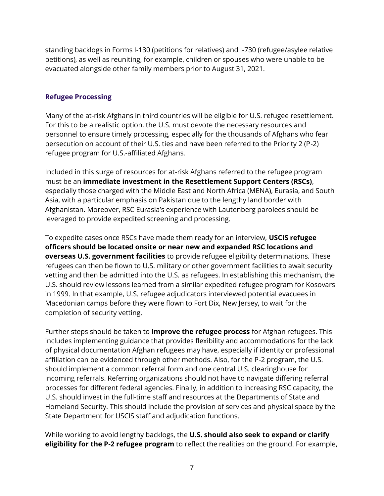standing backlogs in Forms I-130 (petitions for relatives) and I-730 (refugee/asylee relative petitions), as well as reuniting, for example, children or spouses who were unable to be evacuated alongside other family members prior to August 31, 2021.

#### **Refugee Processing**

Many of the at-risk Afghans in third countries will be eligible for U.S. refugee resettlement. For this to be a realistic option, the U.S. must devote the necessary resources and personnel to ensure timely processing, especially for the thousands of Afghans who fear persecution on account of their U.S. ties and have been referred to the Priority 2 (P-2) refugee program for U.S.-affiliated Afghans.

Included in this surge of resources for at-risk Afghans referred to the refugee program must be an **immediate investment in the Resettlement Support Centers (RSCs)**, especially those charged with the Middle East and North Africa (MENA), Eurasia, and South Asia, with a particular emphasis on Pakistan due to the lengthy land border with Afghanistan. Moreover, RSC Eurasia's experience with Lautenberg parolees should be leveraged to provide expedited screening and processing.

To expedite cases once RSCs have made them ready for an interview, **USCIS refugee officers should be located onsite or near new and expanded RSC locations and overseas U.S. government facilities** to provide refugee eligibility determinations. These refugees can then be flown to U.S. military or other government facilities to await security vetting and then be admitted into the U.S. as refugees. In establishing this mechanism, the U.S. should review lessons learned from a similar expedited refugee program for Kosovars in 1999. In that example, U.S. refugee adjudicators interviewed potential evacuees in Macedonian camps before they were flown to Fort Dix, New Jersey, to wait for the completion of security vetting.

Further steps should be taken to **improve the refugee process** for Afghan refugees. This includes implementing guidance that provides flexibility and accommodations for the lack of physical documentation Afghan refugees may have, especially if identity or professional affiliation can be evidenced through other methods. Also, for the P-2 program, the U.S. should implement a common referral form and one central U.S. clearinghouse for incoming referrals. Referring organizations should not have to navigate differing referral processes for different federal agencies. Finally, in addition to increasing RSC capacity, the U.S. should invest in the full-time staff and resources at the Departments of State and Homeland Security. This should include the provision of services and physical space by the State Department for USCIS staff and adjudication functions.

While working to avoid lengthy backlogs, the **U.S. should also seek to expand or clarify eligibility for the P-2 refugee program** to reflect the realities on the ground. For example,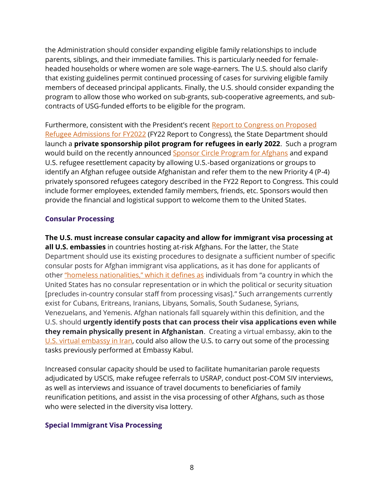the Administration should consider expanding eligible family relationships to include parents, siblings, and their immediate families. This is particularly needed for femaleheaded households or where women are sole wage-earners. The U.S. should also clarify that existing guidelines permit continued processing of cases for surviving eligible family members of deceased principal applicants. Finally, the U.S. should consider expanding the program to allow those who worked on sub-grants, sub-cooperative agreements, and subcontracts of USG-funded efforts to be eligible for the program.

Furthermore, consistent with the President's recent [Report to Congress on Proposed](https://www.state.gov/report-to-congress-on-proposed-refugee-admissions-for-fiscal-year-2022/)  [Refugee Admissions for FY2022](https://www.state.gov/report-to-congress-on-proposed-refugee-admissions-for-fiscal-year-2022/) (FY22 Report to Congress), the State Department should launch a **private sponsorship pilot program for refugees in early 2022**. Such a program would build on the recently announce[d Sponsor Circle Program for Afghans](https://www.state.gov/launch-of-the-sponsor-circle-program-for-afghans/) and expand U.S. refugee resettlement capacity by allowing U.S.-based organizations or groups to identify an Afghan refugee outside Afghanistan and refer them to the new Priority 4 (P-4) privately sponsored refugees category described in the FY22 Report to Congress. This could include former employees, extended family members, friends, etc. Sponsors would then provide the financial and logistical support to welcome them to the United States.

# **Consular Processing**

**The U.S. must increase consular capacity and allow for immigrant visa processing at all U.S. embassies** in countries hosting at-risk Afghans. For the latter, the State Department should use its existing procedures to designate a sufficient number of specific consular posts for Afghan immigrant visa applications, as it has done for applicants of other ["homeless nationalities," which it defines as](https://fam.state.gov/fam/09FAM/09FAM050404.html) individuals from "a country in which the United States has no consular representation or in which the political or security situation [precludes in-country consular staff from processing visas]." Such arrangements currently exist for Cubans, Eritreans, Iranians, Libyans, Somalis, South Sudanese, Syrians, Venezuelans, and Yemenis. Afghan nationals fall squarely within this definition, and the U.S. should **urgently identify posts that can process their visa applications even while they remain physically present in Afghanistan**. Creating a virtual embassy, akin to the [U.S. virtual embassy in Iran,](https://ir.usembassy.gov/) could also allow the U.S. to carry out some of the processing tasks previously performed at Embassy Kabul.

Increased consular capacity should be used to facilitate humanitarian parole requests adjudicated by USCIS, make refugee referrals to USRAP, conduct post-COM SIV interviews, as well as interviews and issuance of travel documents to beneficiaries of family reunification petitions, and assist in the visa processing of other Afghans, such as those who were selected in the diversity visa lottery.

#### **Special Immigrant Visa Processing**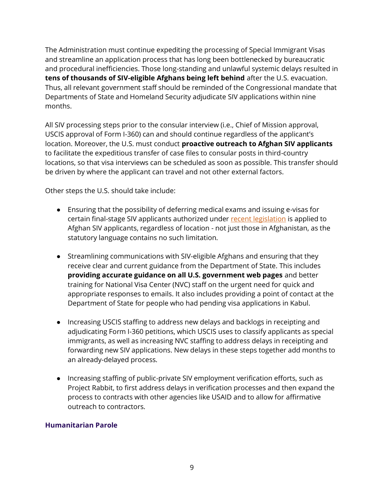The Administration must continue expediting the processing of Special Immigrant Visas and streamline an application process that has long been bottlenecked by bureaucratic and procedural inefficiencies. Those long-standing and unlawful systemic delays resulted in **tens of thousands of SIV-eligible Afghans being left behind** after the U.S. evacuation. Thus, all relevant government staff should be reminded of the Congressional mandate that Departments of State and Homeland Security adjudicate SIV applications within nine months.

All SIV processing steps prior to the consular interview (i.e., Chief of Mission approval, USCIS approval of Form I-360) can and should continue regardless of the applicant's location. Moreover, the U.S. must conduct **proactive outreach to Afghan SIV applicants** to facilitate the expeditious transfer of case files to consular posts in third-country locations, so that visa interviews can be scheduled as soon as possible. This transfer should be driven by where the applicant can travel and not other external factors.

Other steps the U.S. should take include:

- Ensuring that the possibility of deferring medical exams and issuing e-visas for certain final-stage SIV applicants authorized under [recent legislation](https://www.govinfo.gov/content/pkg/PLAW-117publ31/pdf/PLAW-117publ31.pdf) is applied to Afghan SIV applicants, regardless of location - not just those in Afghanistan, as the statutory language contains no such limitation.
- Streamlining communications with SIV-eligible Afghans and ensuring that they receive clear and current guidance from the Department of State. This includes **providing accurate guidance on all U.S. government web pages** and better training for National Visa Center (NVC) staff on the urgent need for quick and appropriate responses to emails. It also includes providing a point of contact at the Department of State for people who had pending visa applications in Kabul.
- Increasing USCIS staffing to address new delays and backlogs in receipting and adjudicating Form I-360 petitions, which USCIS uses to classify applicants as special immigrants, as well as increasing NVC staffing to address delays in receipting and forwarding new SIV applications. New delays in these steps together add months to an already-delayed process.
- Increasing staffing of public-private SIV employment verification efforts, such as Project Rabbit, to first address delays in verification processes and then expand the process to contracts with other agencies like USAID and to allow for affirmative outreach to contractors.

#### **Humanitarian Parole**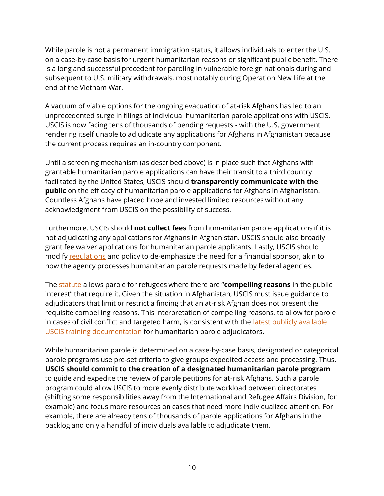While parole is not a permanent immigration status, it allows individuals to enter the U.S. on a case-by-case basis for urgent humanitarian reasons or significant public benefit. There is a long and successful precedent for paroling in vulnerable foreign nationals during and subsequent to U.S. military withdrawals, most notably during Operation New Life at the end of the Vietnam War.

A vacuum of viable options for the ongoing evacuation of at-risk Afghans has led to an unprecedented surge in filings of individual humanitarian parole applications with USCIS. USCIS is now facing tens of thousands of pending requests - with the U.S. government rendering itself unable to adjudicate any applications for Afghans in Afghanistan because the current process requires an in-country component.

Until a screening mechanism (as described above) is in place such that Afghans with grantable humanitarian parole applications can have their transit to a third country facilitated by the United States, USCIS should **transparently communicate with the public** on the efficacy of humanitarian parole applications for Afghans in Afghanistan. Countless Afghans have placed hope and invested limited resources without any acknowledgment from USCIS on the possibility of success.

Furthermore, USCIS should **not collect fees** from humanitarian parole applications if it is not adjudicating any applications for Afghans in Afghanistan. USCIS should also broadly grant fee waiver applications for humanitarian parole applicants. Lastly, USCIS should modify [regulations](https://www.law.cornell.edu/cfr/text/8/212.5) and policy to de-emphasize the need for a financial sponsor, akin to how the agency processes humanitarian parole requests made by federal agencies.

The [statute](https://uscode.house.gov/view.xhtml?req=(title:8%20section:1182) allows parole for refugees where there are "**compelling reasons** in the public interest" that require it. Given the situation in Afghanistan, USCIS must issue guidance to adjudicators that limit or restrict a finding that an at-risk Afghan does not present the requisite compelling reasons. This interpretation of compelling reasons, to allow for parole in cases of civil conflict and targeted harm, is consistent with the [latest publicly available](https://refugeerights.org/wp-content/uploads/2020/04/HP-FOIA-min.pdf)  [USCIS training documentation](https://refugeerights.org/wp-content/uploads/2020/04/HP-FOIA-min.pdf) for humanitarian parole adjudicators.

While humanitarian parole is determined on a case-by-case basis, designated or categorical parole programs use pre-set criteria to give groups expedited access and processing. Thus, **USCIS should commit to the creation of a designated humanitarian parole program** to guide and expedite the review of parole petitions for at-risk Afghans. Such a parole program could allow USCIS to more evenly distribute workload between directorates (shifting some responsibilities away from the International and Refugee Affairs Division, for example) and focus more resources on cases that need more individualized attention. For example, there are already tens of thousands of parole applications for Afghans in the backlog and only a handful of individuals available to adjudicate them.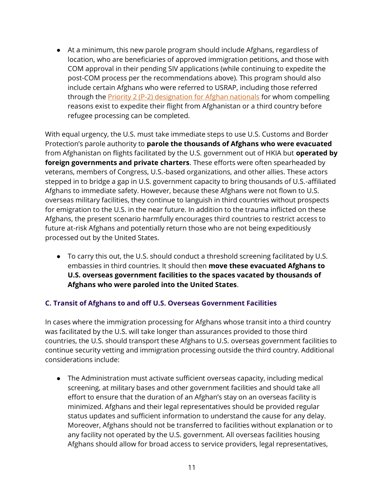● At a minimum, this new parole program should include Afghans, regardless of location, who are beneficiaries of approved immigration petitions, and those with COM approval in their pending SIV applications (while continuing to expedite the post-COM process per the recommendations above). This program should also include certain Afghans who were referred to USRAP, including those referred through the **Priority 2 (P-2) designation for Afghan nationals** for whom compelling reasons exist to expedite their flight from Afghanistan or a third country before refugee processing can be completed.

With equal urgency, the U.S. must take immediate steps to use U.S. Customs and Border Protection's parole authority to **parole the thousands of Afghans who were evacuated** from Afghanistan on flights facilitated by the U.S. government out of HKIA but **operated by foreign governments and private charters**. These efforts were often spearheaded by veterans, members of Congress, U.S.-based organizations, and other allies. These actors stepped in to bridge a gap in U.S. government capacity to bring thousands of U.S.-affiliated Afghans to immediate safety. However, because these Afghans were not flown to U.S. overseas military facilities, they continue to languish in third countries without prospects for emigration to the U.S. in the near future. In addition to the trauma inflicted on these Afghans, the present scenario harmfully encourages third countries to restrict access to future at-risk Afghans and potentially return those who are not being expeditiously processed out by the United States.

● To carry this out, the U.S. should conduct a threshold screening facilitated by U.S. embassies in third countries. It should then **move these evacuated Afghans to U.S. overseas government facilities to the spaces vacated by thousands of Afghans who were paroled into the United States**.

# **C. Transit of Afghans to and off U.S. Overseas Government Facilities**

In cases where the immigration processing for Afghans whose transit into a third country was facilitated by the U.S. will take longer than assurances provided to those third countries, the U.S. should transport these Afghans to U.S. overseas government facilities to continue security vetting and immigration processing outside the third country. Additional considerations include:

● The Administration must activate sufficient overseas capacity, including medical screening, at military bases and other government facilities and should take all effort to ensure that the duration of an Afghan's stay on an overseas facility is minimized. Afghans and their legal representatives should be provided regular status updates and sufficient information to understand the cause for any delay. Moreover, Afghans should not be transferred to facilities without explanation or to any facility not operated by the U.S. government. All overseas facilities housing Afghans should allow for broad access to service providers, legal representatives,